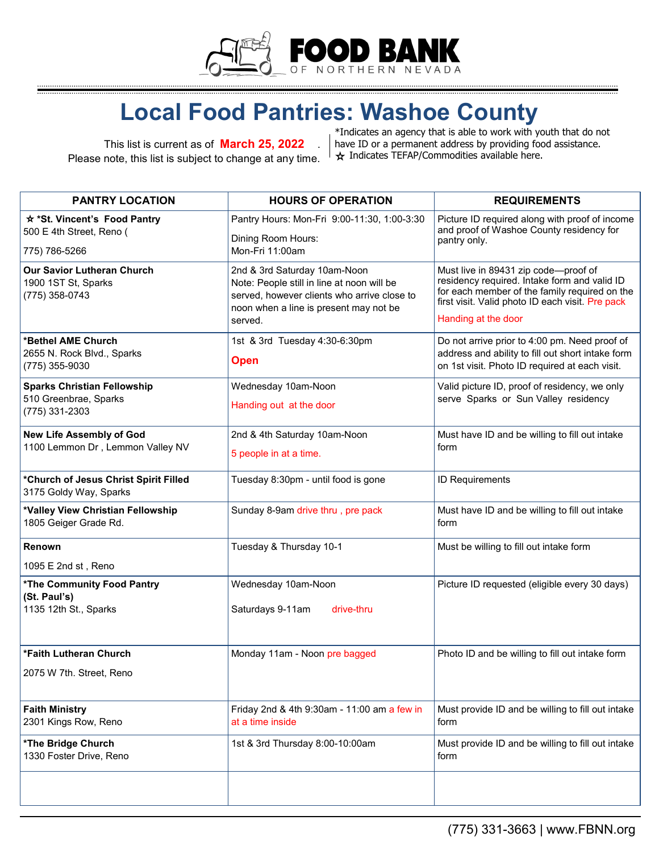

## **Local Food Pantries: Washoe County**

This list is current as of **March 25, 2022** . Please note, this list is subject to change at any time.

\*Indicates an agency that is able to work with youth that do not have ID or a permanent address by providing food assistance.  $\frac{1}{x}$  Indicates TEFAP/Commodities available here.

| <b>PANTRY LOCATION</b>                                                        | <b>HOURS OF OPERATION</b>                                                                                                                                                      | <b>REQUIREMENTS</b>                                                                                                                                                                                              |
|-------------------------------------------------------------------------------|--------------------------------------------------------------------------------------------------------------------------------------------------------------------------------|------------------------------------------------------------------------------------------------------------------------------------------------------------------------------------------------------------------|
| * *St. Vincent's Food Pantry<br>500 E 4th Street, Reno (<br>775) 786-5266     | Pantry Hours: Mon-Fri 9:00-11:30, 1:00-3:30<br>Dining Room Hours:<br>Mon-Fri 11:00am                                                                                           | Picture ID required along with proof of income<br>and proof of Washoe County residency for<br>pantry only.                                                                                                       |
| <b>Our Savior Lutheran Church</b><br>1900 1ST St, Sparks<br>(775) 358-0743    | 2nd & 3rd Saturday 10am-Noon<br>Note: People still in line at noon will be<br>served, however clients who arrive close to<br>noon when a line is present may not be<br>served. | Must live in 89431 zip code-proof of<br>residency required. Intake form and valid ID<br>for each member of the family required on the<br>first visit. Valid photo ID each visit. Pre pack<br>Handing at the door |
| *Bethel AME Church<br>2655 N. Rock Blvd., Sparks<br>(775) 355-9030            | 1st & 3rd Tuesday 4:30-6:30pm<br><b>Open</b>                                                                                                                                   | Do not arrive prior to 4:00 pm. Need proof of<br>address and ability to fill out short intake form<br>on 1st visit. Photo ID required at each visit.                                                             |
| <b>Sparks Christian Fellowship</b><br>510 Greenbrae, Sparks<br>(775) 331-2303 | Wednesday 10am-Noon<br>Handing out at the door                                                                                                                                 | Valid picture ID, proof of residency, we only<br>serve Sparks or Sun Valley residency                                                                                                                            |
| New Life Assembly of God<br>1100 Lemmon Dr, Lemmon Valley NV                  | 2nd & 4th Saturday 10am-Noon<br>5 people in at a time.                                                                                                                         | Must have ID and be willing to fill out intake<br>form                                                                                                                                                           |
| *Church of Jesus Christ Spirit Filled<br>3175 Goldy Way, Sparks               | Tuesday 8:30pm - until food is gone                                                                                                                                            | <b>ID Requirements</b>                                                                                                                                                                                           |
| *Valley View Christian Fellowship<br>1805 Geiger Grade Rd.                    | Sunday 8-9am drive thru, pre pack                                                                                                                                              | Must have ID and be willing to fill out intake<br>form                                                                                                                                                           |
| Renown<br>1095 E 2nd st, Reno                                                 | Tuesday & Thursday 10-1                                                                                                                                                        | Must be willing to fill out intake form                                                                                                                                                                          |
| *The Community Food Pantry<br>(St. Paul's)<br>1135 12th St., Sparks           | Wednesday 10am-Noon<br>Saturdays 9-11am<br>drive-thru                                                                                                                          | Picture ID requested (eligible every 30 days)                                                                                                                                                                    |
| *Faith Lutheran Church<br>2075 W 7th. Street, Reno                            | Monday 11am - Noon pre bagged                                                                                                                                                  | Photo ID and be willing to fill out intake form                                                                                                                                                                  |
| <b>Faith Ministry</b><br>2301 Kings Row, Reno                                 | Friday 2nd & 4th 9:30am - 11:00 am a few in<br>at a time inside                                                                                                                | Must provide ID and be willing to fill out intake<br>form                                                                                                                                                        |
| *The Bridge Church<br>1330 Foster Drive, Reno                                 | 1st & 3rd Thursday 8:00-10:00am                                                                                                                                                | Must provide ID and be willing to fill out intake<br>form                                                                                                                                                        |
|                                                                               |                                                                                                                                                                                |                                                                                                                                                                                                                  |